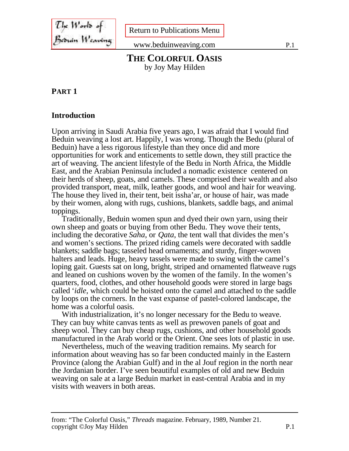The Works of<br>Be<del>o</del>uán Weswing

[Return to Publications Menu](./index.htm)

www.beduinweaving.com P.1

## **THE COLORFUL OASIS** by Joy May Hilden

#### **PART 1**

#### **Introduction**

Upon arriving in Saudi Arabia five years ago, I was afraid that I would find Beduin weaving a lost art. Happily, I was wrong. Though the Bedu (plural of Beduin) have a less rigorous lifestyle than they once did and more opportunities for work and enticements to settle down, they still practice the art of weaving. The ancient lifestyle of the Bedu in North Africa, the Middle East, and the Arabian Peninsula included a nomadic existence centered on their herds of sheep, goats, and camels. These comprised their wealth and also provided transport, meat, milk, leather goods, and wool and hair for weaving. The house they lived in, their tent, beit issha'ar, or house of hair, was made by their women, along with rugs, cushions, blankets, saddle bags, and animal toppings.

Traditionally, Beduin women spun and dyed their own yarn, using their own sheep and goats or buying from other Bedu. They wove their tents, including the decorative *Saha*, or *Qata*, the tent wall that divides the men's and women's sections. The prized riding camels were decorated with saddle blankets; saddle bags; tasseled head ornaments; and sturdy, finger-woven halters and leads. Huge, heavy tassels were made to swing with the camel's loping gait. Guests sat on long, bright, striped and ornamented flatweave rugs and leaned on cushions woven by the women of the family. In the women's quarters, food, clothes, and other household goods were stored in large bags called '*idle*, which could be hoisted onto the camel and attached to the saddle by loops on the corners. In the vast expanse of pastel-colored landscape, the home was a colorful oasis.

With industrialization, it's no longer necessary for the Bedu to weave. They can buy white canvas tents as well as prewoven panels of goat and sheep wool. They can buy cheap rugs, cushions, and other household goods manufactured in the Arab world or the Orient. One sees lots of plastic in use.

Nevertheless, much of the weaving tradition remains. My search for information about weaving has so far been conducted mainly in the Eastern Province (along the Arabian Gulf) and in the al Jouf region in the north near the Jordanian border. I've seen beautiful examples of old and new Beduin weaving on sale at a large Beduin market in east-central Arabia and in my visits with weavers in both areas.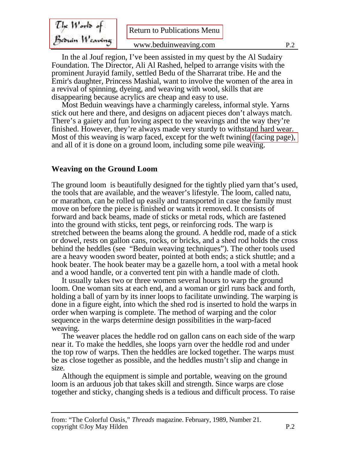<span id="page-1-0"></span>

| $\mathcal{I}$ he World of | <b>Return to Publications Menu</b> |                |
|---------------------------|------------------------------------|----------------|
| Bernin Weaving            | www.beduinweaving.com              | P <sub>2</sub> |

In the al Jouf region, I've been assisted in my quest by the Al Sudairy Foundation. The Director, Ali Al Rashed, helped to arrange visits with the prominent Jurayid family, settled Bedu of the Sharrarat tribe. He and the Emir's daughter, Princess Mashial, want to involve the women of the area in a revival of spinning, dyeing, and weaving with wool, skills that are disappearing because acrylics are cheap and easy to use.

Most Beduin weavings have a charmingly careless, informal style. Yarns stick out here and there, and designs on adjacent pieces don't always match. There's a gaiety and fun loving aspect to the weavings and the way they're finished. However, they're always made very sturdy to withstand hard wear. Most of this weaving is warp faced, except for the weft twining [\(facing page\),](#page-9-0) and all of it is done on a ground loom, including some pile weaving.

# **Weaving on the Ground Loom**

The ground loom is beautifully designed for the tightly plied yarn that's used, the tools that are available, and the weaver's lifestyle. The loom, called natu, or marathon, can be rolled up easily and transported in case the family must move on before the piece is finished or wants it removed. It consists of forward and back beams, made of sticks or metal rods, which are fastened into the ground with sticks, tent pegs, or reinforcing rods. The warp is stretched between the beams along the ground. A heddle rod, made of a stick or dowel, rests on gallon cans, rocks, or bricks, and a shed rod holds the cross behind the heddles (see "Beduin weaving techniques"). The other tools used are a heavy wooden sword beater, pointed at both ends; a stick shuttle; and a hook beater. The hook beater may be a gazelle horn, a tool with a metal hook and a wood handle, or a converted tent pin with a handle made of cloth.

It usually takes two or three women several hours to warp the ground loom. One woman sits at each end, and a woman or girl runs back and forth, holding a ball of yarn by its inner loops to facilitate unwinding. The warping is done in a figure eight, into which the shed rod is inserted to hold the warps in order when warping is complete. The method of warping and the color sequence in the warps determine design possibilities in the warp-faced weaving.

The weaver places the heddle rod on gallon cans on each side of the warp near it. To make the heddles, she loops yarn over the heddle rod and under the top row of warps. Then the heddles are locked together. The warps must be as close together as possible, and the heddles mustn't slip and change in size.

Although the equipment is simple and portable, weaving on the ground loom is an arduous job that takes skill and strength. Since warps are close together and sticky, changing sheds is a tedious and difficult process. To raise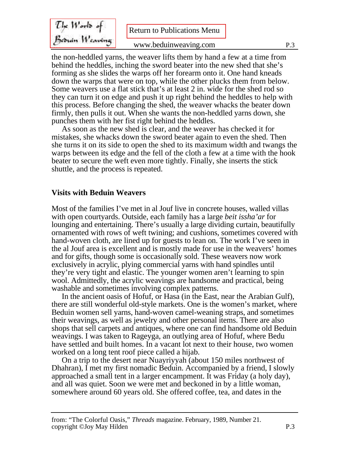The Works of<br>Besnin Wearing

the non-heddled yarns, the weaver lifts them by hand a few at a time from behind the heddles, inching the sword beater into the new shed that she's forming as she slides the warps off her forearm onto it. One hand kneads down the warps that were on top, while the other plucks them from below. Some weavers use a flat stick that's at least 2 in. wide for the shed rod so they can turn it on edge and push it up right behind the heddles to help with this process. Before changing the shed, the weaver whacks the beater down firmly, then pulls it out. When she wants the non-heddled yarns down, she punches them with her fist right behind the heddles.

As soon as the new shed is clear, and the weaver has checked it for mistakes, she whacks down the sword beater again to even the shed. Then she turns it on its side to open the shed to its maximum width and twangs the warps between its edge and the fell of the cloth a few at a time with the hook beater to secure the weft even more tightly. Finally, she inserts the stick shuttle, and the process is repeated.

### **Visits with Beduin Weavers**

Most of the families I've met in al Jouf live in concrete houses, walled villas with open courtyards. Outside, each family has a large *beit issha'ar* for lounging and entertaining. There's usually a large dividing curtain, beautifully ornamented with rows of weft twining; and cushions, sometimes covered with hand-woven cloth, are lined up for guests to lean on. The work I've seen in the al Jouf area is excellent and is mostly made for use in the weavers' homes and for gifts, though some is occasionally sold. These weavers now work exclusively in acrylic, plying commercial yarns with hand spindles until they're very tight and elastic. The younger women aren't learning to spin wool. Admittedly, the acrylic weavings are handsome and practical, being washable and sometimes involving complex patterns.

In the ancient oasis of Hofuf, or Hasa (in the East, near the Arabian Gulf), there are still wonderful old-style markets. One is the women's market, where Beduin women sell yarns, hand-woven camel-weaning straps, and sometimes their weavings, as well as jewelry and other personal items. There are also shops that sell carpets and antiques, where one can find handsome old Beduin weavings. I was taken to Rageyga, an outlying area of Hofuf, where Bedu have settled and built homes. In a vacant lot next to their house, two women worked on a long tent roof piece called a hijab.

On a trip to the desert near Nuayriyyah (about 150 miles northwest of Dhahran), I met my first nomadic Beduin. Accompanied by a friend, I slowly approached a small tent in a larger encampment. It was Friday (a holy day), and all was quiet. Soon we were met and beckoned in by a little woman, somewhere around 60 years old. She offered coffee, tea, and dates in the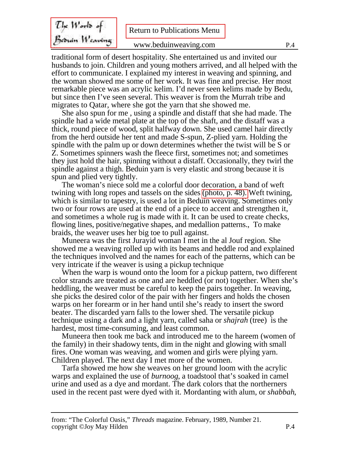<span id="page-3-0"></span>The Works of<br>Besnin Wearing

traditional form of desert hospitality. She entertained us and invited our husbands to join. Children and young mothers arrived, and all helped with the effort to communicate. I explained my interest in weaving and spinning, and the woman showed me some of her work. It was fine and precise. Her most remarkable piece was an acrylic kelim. I'd never seen kelims made by Bedu, but since then I've seen several. This weaver is from the Murrah tribe and migrates to Qatar, where she got the yarn that she showed me.

She also spun for me , using a spindle and distaff that she had made. The spindle had a wide metal plate at the top of the shaft, and the distaff was a thick, round piece of wood, split halfway down. She used camel hair directly from the herd outside her tent and made S-spun, Z-plied yarn. Holding the spindle with the palm up or down determines whether the twist will be S or Z. Sometimes spinners wash the fleece first, sometimes not; and sometimes they just hold the hair, spinning without a distaff. Occasionally, they twirl the spindle against a thigh. Beduin yarn is very elastic and strong because it is spun and plied very tightly.

The woman's niece sold me a colorful door decoration, a band of weft twining with long ropes and tassels on the sides [\(photo, p. 48\).](#page-9-0) Weft twining, which is similar to tapestry, is used a lot in Beduin weaving. Sometimes only two or four rows are used at the end of a piece to accent and strengthen it, and sometimes a whole rug is made with it. It can be used to create checks, flowing lines, positive/negative shapes, and medallion patterns., To make braids, the weaver uses her big toe to pull against.

Muneera was the first Jurayid woman I met in the al Jouf region. She showed me a weaving rolled up with its beams and heddle rod and explained the techniques involved and the names for each of the patterns, which can be very intricate if the weaver is using a pickup technique

When the warp is wound onto the loom for a pickup pattern, two different color strands are treated as one and are heddled (or not) together. When she's heddling, the weaver must be careful to keep the pairs together. In weaving, she picks the desired color of the pair with her fingers and holds the chosen warps on her forearm or in her hand until she's ready to insert the sword beater. The discarded yarn falls to the lower shed. The versatile pickup technique using a dark and a light yarn, called saha or *shajrah* (tree) is the hardest, most time-consuming, and least common.

Muneera then took me back and introduced me to the hareem (women of the family) in their shadowy tents, dim in the night and glowing with small fires. One woman was weaving, and women and girls were plying yarn. Children played. The next day I met more of the women.

Tarfa showed me how she weaves on her ground loom with the acrylic warps and explained the use of *burnoog*, a toadstool that's soaked in camel urine and used as a dye and mordant. The dark colors that the northerners used in the recent past were dyed with it. Mordanting with alum, or *shabbah*,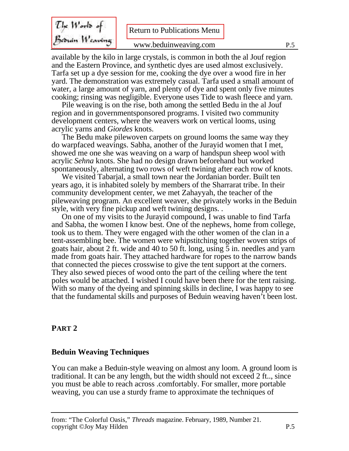The Works of<br>Besuin Weaving

available by the kilo in large crystals, is common in both the al Jouf region and the Eastern Province, and synthetic dyes are used almost exclusively. Tarfa set up a dye session for me, cooking the dye over a wood fire in her yard. The demonstration was extremely casual. Tarfa used a small amount of water, a large amount of yarn, and plenty of dye and spent only five minutes cooking; rinsing was negligible. Everyone uses Tide to wash fleece and yarn.

Pile weaving is on the rise, both among the settled Bedu in the al Jouf region and in governmentsponsored programs. I visited two community development centers, where the weavers work on vertical looms, using acrylic yarns and *Giordes* knots.

The Bedu make pilewoven carpets on ground looms the same way they do warpfaced weavings. Sabha, another of the Jurayid women that I met, showed me one she was weaving on a warp of handspun sheep wool with acrylic *Sehna* knots. She had no design drawn beforehand but worked spontaneously, alternating two rows of weft twining after each row of knots.

We visited Tabarjal, a small town near the Jordanian border. Built ten years ago, it is inhabited solely by members of the Sharrarat tribe. In their community development center, we met Zahayyah, the teacher of the pileweaving program. An excellent weaver, she privately works in the Beduin style, with very fine pickup and weft twining designs. .

On one of my visits to the Jurayid compound, I was unable to find Tarfa and Sabha, the women I know best. One of the nephews, home from college, took us to them. They were engaged with the other women of the clan in a tent-assembling bee. The women were whipstitching together woven strips of goats hair, about 2 ft. wide and 40 to 50 ft. long, using 5 in. needles and yarn made from goats hair. They attached hardware for ropes to the narrow bands that connected the pieces crosswise to give the tent support at the corners. They also sewed pieces of wood onto the part of the ceiling where the tent poles would be attached. I wished I could have been there for the tent raising. With so many of the dyeing and spinning skills in decline, I was happy to see that the fundamental skills and purposes of Beduin weaving haven't been lost.

#### **PART 2**

#### **Beduin Weaving Techniques**

You can make a Beduin-style weaving on almost any loom. A ground loom is traditional. It can be any length, but the width should not exceed 2 ft.., since you must be able to reach across .comfortably. For smaller, more portable weaving, you can use a sturdy frame to approximate the techniques of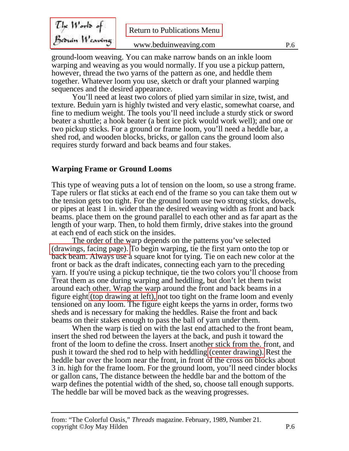<span id="page-5-0"></span>

| $\mathcal{I}$ ke World of | <b>Return to Publications Menu</b> |     |
|---------------------------|------------------------------------|-----|
| Beðuin Weaving            |                                    |     |
|                           | www.beduinweaving.com              | P.6 |

ground-loom weaving. You can make narrow bands on an inkle loom warping and weaving as you would normally. If you use a pickup pattern, however, thread the two yarns of the pattern as one, and heddle them together. Whatever loom you use, sketch or draft your planned warping sequences and the desired appearance.

You'll need at least two colors of plied yarn similar in size, twist, and texture. Beduin yarn is highly twisted and very elastic, somewhat coarse, and fine to medium weight. The tools you'll need include a sturdy stick or sword beater a shuttle; a hook beater (a bent ice pick would work well); and one or two pickup sticks. For a ground or frame loom, you'll need a heddle bar, a shed rod, and wooden blocks, bricks, or gallon cans the ground loom also requires sturdy forward and back beams and four stakes.

# **Warping Frame or Ground Looms**

This type of weaving puts a lot of tension on the loom, so use a strong frame. Tape rulers or flat sticks at each end of the frame so you can take them out w the tension gets too tight. For the ground loom use two strong sticks, dowels, or pipes at least 1 in. wider than the desired weaving width as front and back beams. place them on the ground parallel to each other and as far apart as the length of your warp. Then, to hold them firmly, drive stakes into the ground at each end of each stick on the insides.

The order of the warp depends on the patterns you've selected [\(drawings, facing page\).](#page-15-0) To begin warping, tie the first yarn onto the top or back beam. Always use a square knot for tying. Tie on each new color at the front or back as the draft indicates, connecting each yarn to the preceding yarn. If you're using a pickup technique, tie the two colors you'll choose from Treat them as one during warping and heddling, but don't let them twist around each other. Wrap the warp around the front and back beams in a figure eight [\(top drawing at left\),](#page-14-0) not too tight on the frame loom and evenly tensioned on any loom. The figure eight keeps the yarns in order, forms two sheds and is necessary for making the heddles. Raise the front and back beams on their stakes enough to pass the ball of yarn under them.

When the warp is tied on with the last end attached to the front beam, insert the shed rod between the layers at the back, and push it toward the front of the loom to define the cross. Insert another stick from the. front, and push it toward the shed rod to help with heddling [\(center drawing\).](#page-14-0) Rest the heddle bar over the loom near the front, in front of the cross on blocks about 3 in. high for the frame loom. For the ground loom, you'll need cinder blocks or gallon cans, The distance between the heddle bar and the bottom of the warp defines the potential width of the shed, so, choose tall enough supports. The heddle bar will be moved back as the weaving progresses.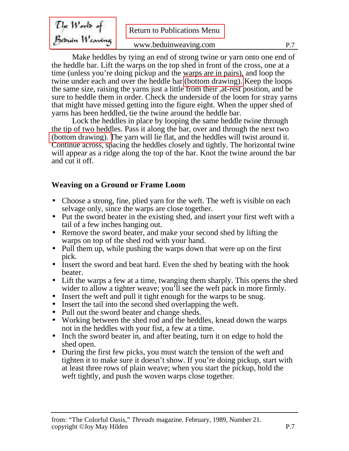<span id="page-6-0"></span>

| $\mathcal{I}$ lye $W$ orl $\mathfrak{b}$ of | <b>Return to Publications Menu</b> |     |
|---------------------------------------------|------------------------------------|-----|
| Beðuin Weaving                              |                                    |     |
|                                             | www.beduinweaving.com              | P 7 |

Make heddles by tying an end of strong twine or yarn onto one end of the heddle bar. Lift the warps on the top shed in front of the cross, one at a time (unless you're doing pickup and the warps are in pairs), and loop the twine under each and over the heddle bar [\(bottom drawing\).](#page-14-0) Keep the loops the same size, raising the yarns just a little from their ,at-rest position, and be sure to heddle them in order. Check the underside of the loom for stray yarns that might have missed getting into the figure eight. When the upper shed of yarns has been heddled, tie the twine around the heddle bar.

Lock the heddles in place by looping the same heddle twine through the tip of two heddles. Pass it along the bar, over and through the next two [\(bottom drawing\). T](#page-14-0)he yarn will lie flat, and the heddles will twist around it. Continue across, spacing the heddles closely and tightly. The horizontal twine will appear as a ridge along the top of the bar. Knot the twine around the bar and cut it off.

# **Weaving on a Ground or Frame Loom**

- Choose a strong, fine, plied yarn for the weft. The weft is visible on each selvage only, since the warps are close together.
- Put the sword beater in the existing shed, and insert your first weft with a tail of a few inches hanging out.
- Remove the sword beater, and make your second shed by lifting the warps on top of the shed rod with your hand.
- Pull them up, while pushing the warps down that were up on the first pick.
- Insert the sword and beat hard. Even the shed by beating with the hook beater.
- Lift the warps a few at a time, twanging them sharply. This opens the shed wider to allow a tighter weave; you'll see the weft pack in more firmly.
- Insert the weft and pull it tight enough for the warps to be snug.
- Insert the tail into the second shed overlapping the weft.
- Pull out the sword beater and change sheds.
- Working between the shed rod and the heddles, knead down the warps not in the heddles with your fist, a few at a time.
- Inch the sword beater in, and after beating, turn it on edge to hold the shed open.
- During the first few picks, you must watch the tension of the weft and tighten it to make sure it doesn't show. If you're doing pickup, start with at least three rows of plain weave; when you start the pickup, hold the weft tightly, and push the woven warps close together.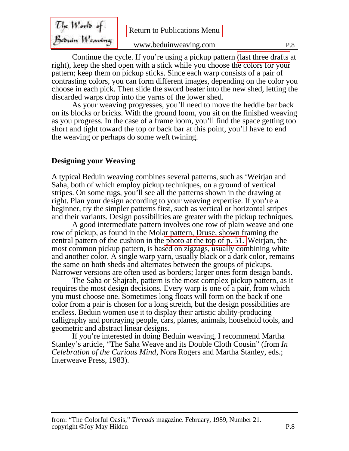<span id="page-7-0"></span>

| $U_{\mathcal{F}}$ Works of | <b>Return to Publications Menu</b> |     |
|----------------------------|------------------------------------|-----|
| Bernin Weaving             | www.beduinweaving.com              | P.8 |

Continue the cycle. If you're using a pickup pattern [\(last three drafts](#page-15-0) at right), keep the shed open with a stick while you choose the colors for your pattern; keep them on pickup sticks. Since each warp consists of a pair of contrasting colors, you can form different images, depending on the color you choose in each pick. Then slide the sword beater into the new shed, letting the discarded warps drop into the yarns of the lower shed.

As your weaving progresses, you'll need to move the heddle bar back on its blocks or bricks. With the ground loom, you sit on the finished weaving as you progress. In the case of a frame loom, you'll find the space getting too short and tight toward the top or back bar at this point, you'll have to end the weaving or perhaps do some weft twining.

# **Designing your Weaving**

A typical Beduin weaving combines several patterns, such as 'Weirjan and Saha, both of which employ pickup techniques, on a ground of vertical stripes. On some rugs, you'll see all the patterns shown in the drawing at right. Plan your design according to your weaving expertise. If you're a beginner, try the simpler patterns first, such as vertical or horizontal stripes and their variants. Design possibilities are greater with the pickup techniques.

A good intermediate pattern involves one row of plain weave and one row of pickup, as found in the Molar pattern, Druse, shown framing the central pattern of the cushion in th[e photo at the top of p. 51. '](#page-12-0)Weirjan, the most common pickup pattern, is based on zigzags, usually combining white and another color. A single warp yarn, usually black or a dark color, remains the same on both sheds and alternates between the groups of pickups. Narrower versions are often used as borders; larger ones form design bands.

The Saha or Shajrah, pattern is the most complex pickup pattern, as it requires the most design decisions. Every warp is one of a pair, from which you must choose one. Sometimes long floats will form on the back if one color from a pair is chosen for a long stretch, but the design possibilities are endless. Beduin women use it to display their artistic ability-producing calligraphy and portraying people, cars, planes, animals, household tools, and geometric and abstract linear designs.

If you're interested in doing Beduin weaving, I recommend Martha Stanley's article, "The Saha Weave and its Double Cloth Cousin" (from *In Celebration of the Curious Mind*, Nora Rogers and Martha Stanley, eds.; Interweave Press, 1983).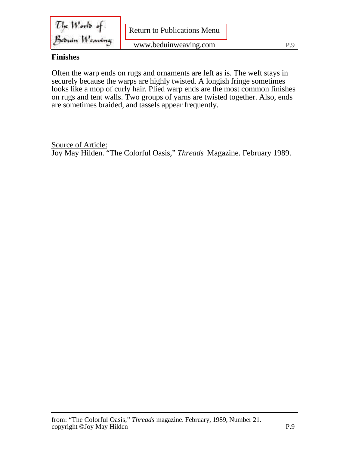$\mathcal{I}!_{\kappa}$  Works of Bedruin Weaving

## **Finishes**

Often the warp ends on rugs and ornaments are left as is. The weft stays in securely because the warps are highly twisted. A longish fringe sometimes looks like a mop of curly hair. Plied warp ends are the most common finishes on rugs and tent walls. Two groups of yarns are twisted together. Also, ends are sometimes braided, and tassels appear frequently.

Source of Article: Joy May Hilden. "The Colorful Oasis," *Threads* Magazine. February 1989.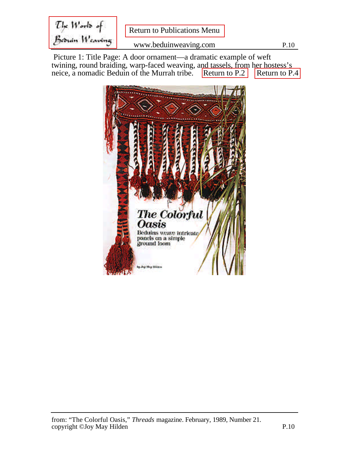<span id="page-9-0"></span>The World of [Return to Publications Menu](./index.htm) Beduin Weaving www.beduinweaving.com P.10

 Picture 1: Title Page: A door ornament—a dramatic example of weft twining, round braiding, warp-faced weaving, and tassels, from her hostess's neice, a nomadic Beduin of the Murrah tribe. [Return to P.2](#page-1-0) [Return to P.4](#page-3-0)

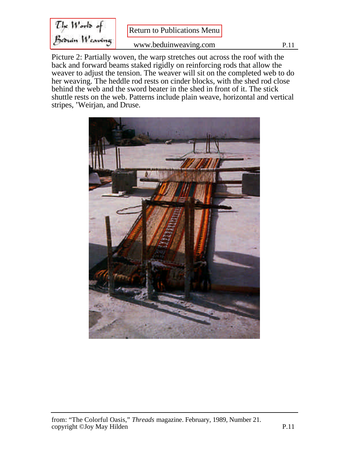The Works of<br>Beswin Weaving

Picture 2: Partially woven, the warp stretches out across the roof with the back and forward beams staked rigidly on reinforcing rods that allow the weaver to adjust the tension. The weaver will sit on the completed web to do her weaving. The heddle rod rests on cinder blocks, with the shed rod close behind the web and the sword beater in the shed in front of it. The stick shuttle rests on the web. Patterns include plain weave, horizontal and vertical stripes, 'Weirjan, and Druse.

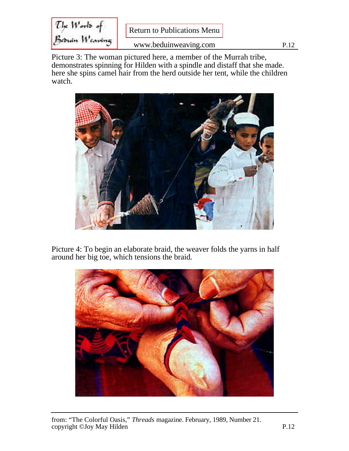The Works of<br>Bernin Wearing

Picture 3: The woman pictured here, a member of the Murrah tribe, demonstrates spinning for Hilden with a spindle and distaff that she made. here she spins camel hair from the herd outside her tent, while the children watch.



Picture 4: To begin an elaborate braid, the weaver folds the yarns in half around her big toe, which tensions the braid.

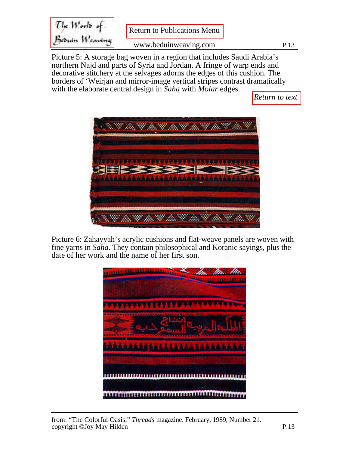<span id="page-12-0"></span>The Works of<br>Be<del>s</del>uin Weaving [Return to Publications Menu](./index.htm) www.beduinweaving.com P.13

Picture 5: A storage bag woven in a region that includes Saudi Arabia's northern Najd and parts of Syria and Jordan. A fringe of warp ends and decorative stitchery at the selvages adorns the edges of this cushion. The borders of 'Weirjan and mirror-image vertical stripes contrast dramatically with the elaborate central design in *Saha* with *Molar* edges.

*[Return to text](#page-7-0)*



Picture 6: Zahayyah's acrylic cushions and flat-weave panels are woven with fine yarns in *Saha*. They contain philosophical and Koranic sayings, plus the date of her work and the name of her first son.

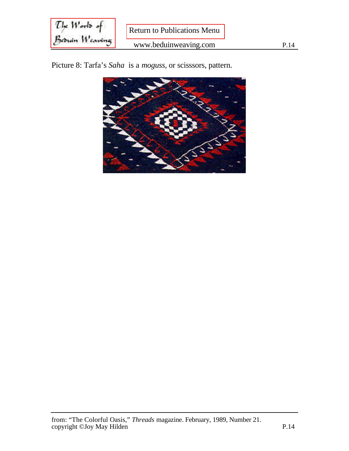$\mathcal{I}!_{\kappa}$   $W$ orl $\mathfrak{d}$  of [Return to Publications Menu](./index.htm) Beduin Weaving www.beduinweaving.com P.14

Picture 8: Tarfa's *Saha* is a *moguss*, or scisssors, pattern.

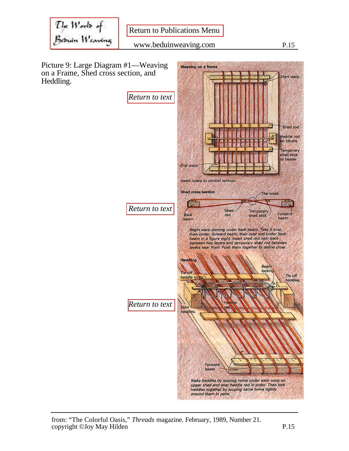<span id="page-14-0"></span>The Works of<br>Besuin Weaving

**Weaving on a frame** 

Picture 9: Large Diagram #1—Weaving on a Frame, Shed cross section, and Heddling.